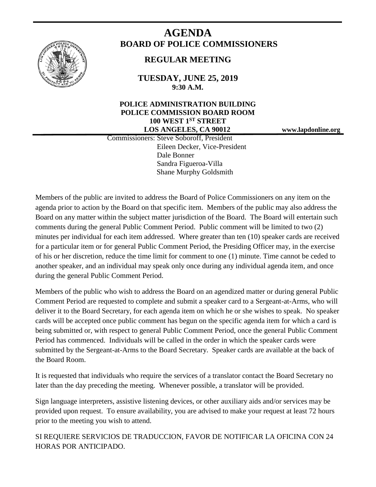

# **AGENDA BOARD OF POLICE COMMISSIONERS**

# **REGULAR MEETING**

**TUESDAY, JUNE 25, 2019 9:30 A.M.**

### **POLICE ADMINISTRATION BUILDING POLICE COMMISSION BOARD ROOM 100 WEST 1ST STREET LOS ANGELES, CA 90012 www.lapdonline.org**

 Commissioners: Steve Soboroff, President Eileen Decker, Vice-President Dale Bonner Sandra Figueroa-Villa Shane Murphy Goldsmith

Members of the public are invited to address the Board of Police Commissioners on any item on the agenda prior to action by the Board on that specific item. Members of the public may also address the Board on any matter within the subject matter jurisdiction of the Board. The Board will entertain such comments during the general Public Comment Period. Public comment will be limited to two (2) minutes per individual for each item addressed. Where greater than ten (10) speaker cards are received for a particular item or for general Public Comment Period, the Presiding Officer may, in the exercise of his or her discretion, reduce the time limit for comment to one (1) minute. Time cannot be ceded to another speaker, and an individual may speak only once during any individual agenda item, and once during the general Public Comment Period.

Members of the public who wish to address the Board on an agendized matter or during general Public Comment Period are requested to complete and submit a speaker card to a Sergeant-at-Arms, who will deliver it to the Board Secretary, for each agenda item on which he or she wishes to speak. No speaker cards will be accepted once public comment has begun on the specific agenda item for which a card is being submitted or, with respect to general Public Comment Period, once the general Public Comment Period has commenced. Individuals will be called in the order in which the speaker cards were submitted by the Sergeant-at-Arms to the Board Secretary. Speaker cards are available at the back of the Board Room.

It is requested that individuals who require the services of a translator contact the Board Secretary no later than the day preceding the meeting. Whenever possible, a translator will be provided.

Sign language interpreters, assistive listening devices, or other auxiliary aids and/or services may be provided upon request. To ensure availability, you are advised to make your request at least 72 hours prior to the meeting you wish to attend.

SI REQUIERE SERVICIOS DE TRADUCCION, FAVOR DE NOTIFICAR LA OFICINA CON 24 HORAS POR ANTICIPADO.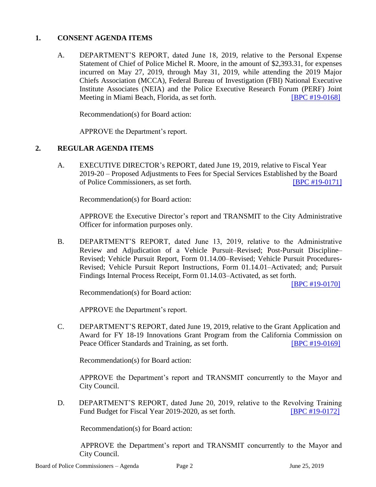#### **1. CONSENT AGENDA ITEMS**

A. DEPARTMENT'S REPORT, dated June 18, 2019, relative to the Personal Expense Statement of Chief of Police Michel R. Moore, in the amount of \$2,393.31, for expenses incurred on May 27, 2019, through May 31, 2019, while attending the 2019 Major Chiefs Association (MCCA), Federal Bureau of Investigation (FBI) National Executive Institute Associates (NEIA) and the Police Executive Research Forum (PERF) Joint Meeting in Miami Beach, Florida, as set forth. [\[BPC #19-0168\]](http://www.lapdpolicecom.lacity.org/062519/BPC_19-0168.pdf)

Recommendation(s) for Board action:

APPROVE the Department's report.

#### **2. REGULAR AGENDA ITEMS**

A. EXECUTIVE DIRECTOR's REPORT, dated June 19, 2019, relative to Fiscal Year 2019-20 – Proposed Adjustments to Fees for Special Services Established by the Board of Police Commissioners, as set forth. [\[BPC #19-0171\]](http://www.lapdpolicecom.lacity.org/062519/BPC_19-0171.pdf)

Recommendation(s) for Board action:

APPROVE the Executive Director's report and TRANSMIT to the City Administrative Officer for information purposes only.

B. DEPARTMENT'S REPORT, dated June 13, 2019, relative to the Administrative Review and Adjudication of a Vehicle Pursuit–Revised; Post-Pursuit Discipline– Revised; Vehicle Pursuit Report, Form 01.14.00–Revised; Vehicle Pursuit Procedures-Revised; Vehicle Pursuit Report Instructions, Form 01.14.01–Activated; and; Pursuit Findings Internal Process Receipt, Form 01.14.03–Activated, as set forth.

[\[BPC #19-0170\]](http://www.lapdpolicecom.lacity.org/062519/BPC_19-0170.pdf)

Recommendation(s) for Board action:

APPROVE the Department's report.

C. DEPARTMENT'S REPORT, dated June 19, 2019, relative to the Grant Application and Award for FY 18-19 Innovations Grant Program from the California Commission on Peace Officer Standards and Training, as set forth. **[\[BPC #19-0169\]](http://www.lapdpolicecom.lacity.org/062519/BPC_19-0169.pdf)** 

Recommendation(s) for Board action:

APPROVE the Department's report and TRANSMIT concurrently to the Mayor and City Council.

D. DEPARTMENT'S REPORT, dated June 20, 2019, relative to the Revolving Training Fund Budget for Fiscal Year 2019-2020, as set forth. **[\[BPC #19-0172\]](http://www.lapdpolicecom.lacity.org/062519/BPC_19-0172.pdf)** 

Recommendation(s) for Board action:

 APPROVE the Department's report and TRANSMIT concurrently to the Mayor and City Council.